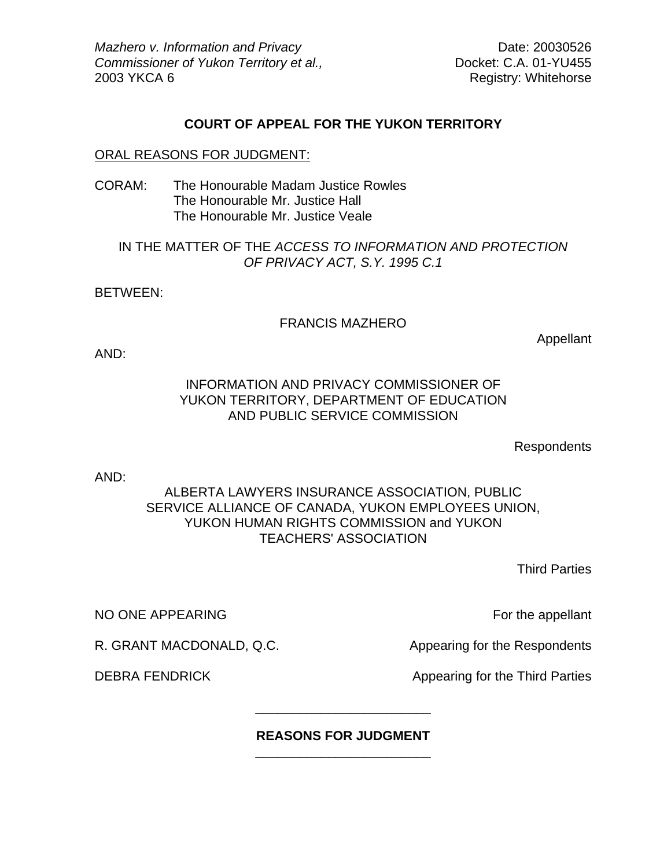*Mazhero v. Information and Privacy* Date: 20030526 *Commissioner of Yukon Territory et al.,* Docket: C.A. 01-YU455 2003 YKCA 6 Registry: Whitehorse

## **COURT OF APPEAL FOR THE YUKON TERRITORY**

#### ORAL REASONS FOR JUDGMENT:

CORAM: The Honourable Madam Justice Rowles The Honourable Mr. Justice Hall The Honourable Mr. Justice Veale

## IN THE MATTER OF THE *ACCESS TO INFORMATION AND PROTECTION OF PRIVACY ACT, S.Y. 1995 C.1*

BETWEEN:

### FRANCIS MAZHERO

Appellant

AND:

# INFORMATION AND PRIVACY COMMISSIONER OF YUKON TERRITORY, DEPARTMENT OF EDUCATION AND PUBLIC SERVICE COMMISSION

**Respondents** 

AND:

# ALBERTA LAWYERS INSURANCE ASSOCIATION, PUBLIC SERVICE ALLIANCE OF CANADA, YUKON EMPLOYEES UNION, YUKON HUMAN RIGHTS COMMISSION and YUKON TEACHERS' ASSOCIATION

Third Parties

NO ONE APPEARING For the appellant

R. GRANT MACDONALD, Q.C. Appearing for the Respondents

DEBRA FENDRICK Appearing for the Third Parties

#### **REASONS FOR JUDGMENT** \_\_\_\_\_\_\_\_\_\_\_\_\_\_\_\_\_\_\_\_\_\_\_\_

\_\_\_\_\_\_\_\_\_\_\_\_\_\_\_\_\_\_\_\_\_\_\_\_